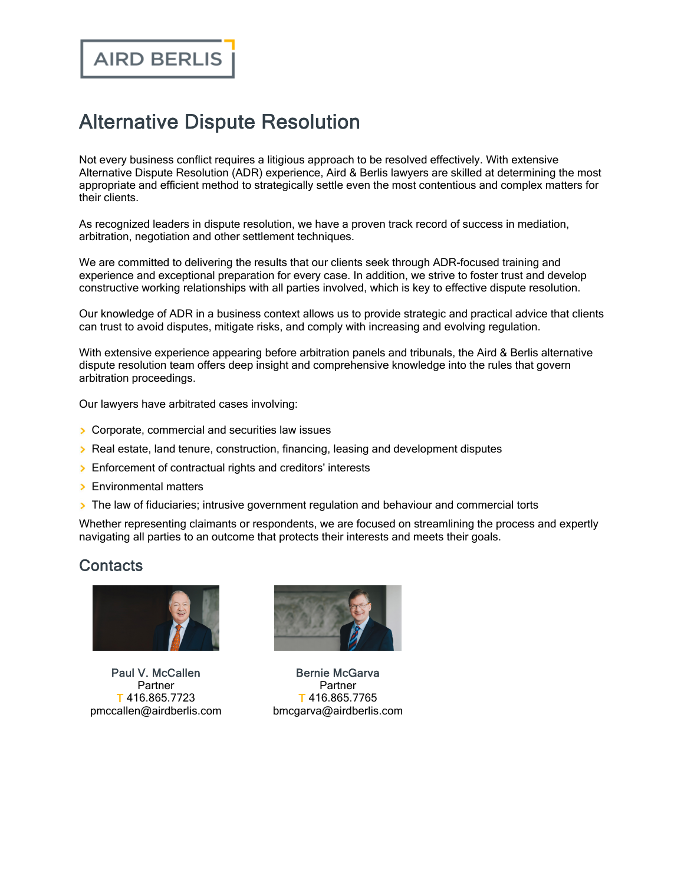## Alternative Dispute Resolution

Not every business conflict requires a litigious approach to be resolved effectively. With extensive Alternative Dispute Resolution (ADR) experience, Aird & Berlis lawyers are skilled at determining the most appropriate and efficient method to strategically settle even the most contentious and complex matters for their clients.

As recognized leaders in dispute resolution, we have a proven track record of success in mediation, arbitration, negotiation and other settlement techniques.

We are committed to delivering the results that our clients seek through ADR-focused training and experience and exceptional preparation for every case. In addition, we strive to foster trust and develop constructive working relationships with all parties involved, which is key to effective dispute resolution.

Our knowledge of ADR in a business context allows us to provide strategic and practical advice that clients can trust to avoid disputes, mitigate risks, and comply with increasing and evolving regulation.

With extensive experience appearing before arbitration panels and tribunals, the Aird & Berlis alternative dispute resolution team offers deep insight and comprehensive knowledge into the rules that govern arbitration proceedings.

Our lawyers have arbitrated cases involving:

- **Corporate, commercial and securities law issues**
- **> Real estate, land tenure, construction, financing, leasing and development disputes**
- **Enforcement of contractual rights and creditors' interests**
- **Environmental matters**
- The law of fiduciaries; intrusive government regulation and behaviour and commercial torts

Whether representing claimants or respondents, we are focused on streamlining the process and expertly navigating all parties to an outcome that protects their interests and meets their goals.

## **Contacts**



Paul V. [McCallen](https://www.airdberlis.com/people/bio/paul-v-mccallen) Partner T 416.865.7723 pmccallen@airdberlis.com



Bernie [McGarva](https://www.airdberlis.com/people/bio/bernie-mcgarva) Partner T 416.865.7765 bmcgarva@airdberlis.com